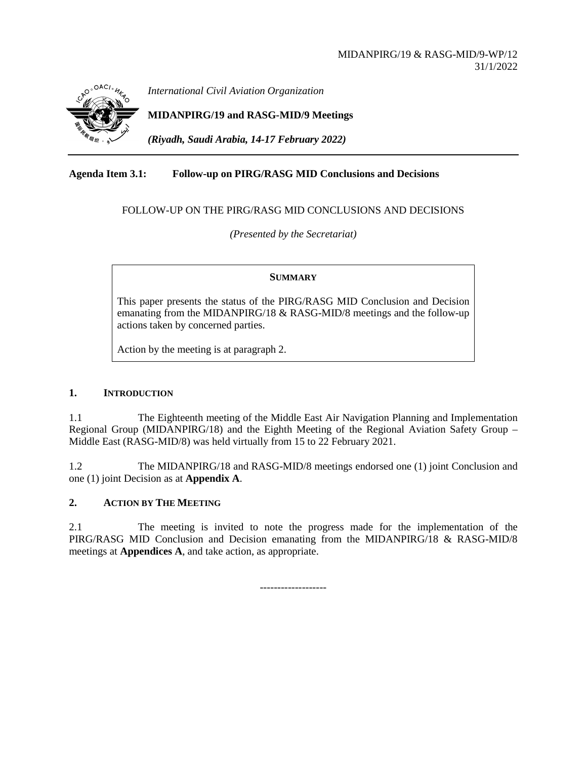

*International Civil Aviation Organization*

**MIDANPIRG/19 and RASG-MID/9 Meetings**

*(Riyadh, Saudi Arabia, 14-17 February 2022)*

# **Agenda Item 3.1: Follow-up on PIRG/RASG MID Conclusions and Decisions**

### FOLLOW-UP ON THE PIRG/RASG MID CONCLUSIONS AND DECISIONS

*(Presented by the Secretariat)*

#### **SUMMARY**

This paper presents the status of the PIRG/RASG MID Conclusion and Decision emanating from the MIDANPIRG/18 & RASG-MID/8 meetings and the follow-up actions taken by concerned parties.

Action by the meeting is at paragraph 2.

#### **1. INTRODUCTION**

1.1 The Eighteenth meeting of the Middle East Air Navigation Planning and Implementation Regional Group (MIDANPIRG/18) and the Eighth Meeting of the Regional Aviation Safety Group – Middle East (RASG-MID/8) was held virtually from 15 to 22 February 2021.

1.2 The MIDANPIRG/18 and RASG-MID/8 meetings endorsed one (1) joint Conclusion and one (1) joint Decision as at **Appendix A**.

### **2. ACTION BY THE MEETING**

2.1 The meeting is invited to note the progress made for the implementation of the PIRG/RASG MID Conclusion and Decision emanating from the MIDANPIRG/18 & RASG-MID/8 meetings at **Appendices A**, and take action, as appropriate.

-------------------